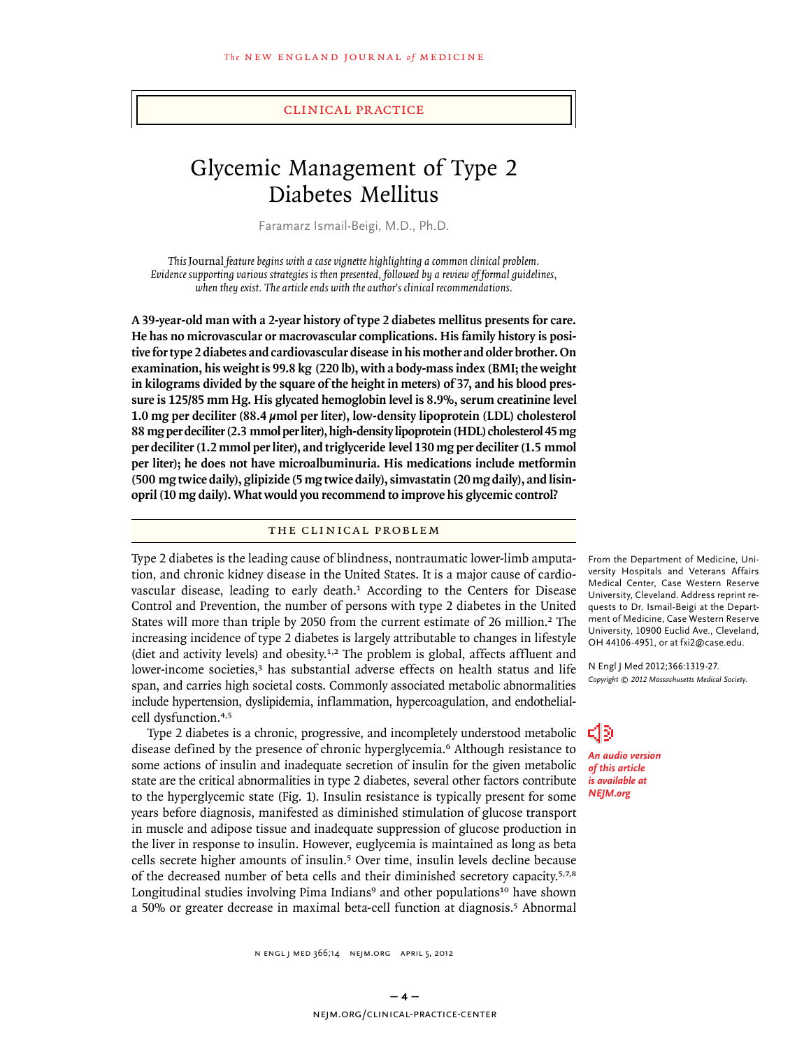## clinical practice

# Glycemic Management of Type 2 Diabetes Mellitus

Faramarz Ismail-Beigi, M.D., Ph.D.

*This* Journal *feature begins with a case vignette highlighting a common clinical problem. Evidence supporting various strategies is then presented, followed by a review of formal guidelines, when they exist. The article ends with the author's clinical recommendations.* 

**A 39-year-old man with a 2-year history of type 2 diabetes mellitus presents for care. He has no microvascular or macrovascular complications. His family history is positive for type 2 diabetes and cardiovascular disease in his mother and older brother. On examination, his weight is 99.8 kg (220 lb), with a body-mass index (BMI; the weight in kilograms divided by the square of the height in meters) of 37, and his blood pressure is 125/85 mm Hg. His glycated hemoglobin level is 8.9%, serum creatinine level 1.0 mg per deciliter (88.4 μmol per liter), low-density lipoprotein (LDL) cholesterol 88 mg per deciliter (2.3 mmol per liter), high-density lipoprotein (HDL) cholesterol 45 mg per deciliter (1.2 mmol per liter), and triglyceride level 130 mg per deciliter (1.5 mmol per liter); he does not have microalbuminuria. His medications include metformin (500 mg twice daily), glipizide (5 mg twice daily), simvastatin (20 mg daily), and lisinopril (10 mg daily). What would you recommend to improve his glycemic control?**

## THE CLINICAL PROBLEM

Type 2 diabetes is the leading cause of blindness, nontraumatic lower-limb amputation, and chronic kidney disease in the United States. It is a major cause of cardiovascular disease, leading to early death.<sup>1</sup> According to the Centers for Disease Control and Prevention, the number of persons with type 2 diabetes in the United States will more than triple by 2050 from the current estimate of 26 million.<sup>2</sup> The increasing incidence of type 2 diabetes is largely attributable to changes in lifestyle (diet and activity levels) and obesity.1,2 The problem is global, affects affluent and lower-income societies,<sup>3</sup> has substantial adverse effects on health status and life span, and carries high societal costs. Commonly associated metabolic abnormalities include hypertension, dyslipidemia, inflammation, hypercoagulation, and endothelialcell dysfunction.4,5

Type 2 diabetes is a chronic, progressive, and incompletely understood metabolic disease defined by the presence of chronic hyperglycemia.<sup>6</sup> Although resistance to some actions of insulin and inadequate secretion of insulin for the given metabolic state are the critical abnormalities in type 2 diabetes, several other factors contribute to the hyperglycemic state (Fig. 1). Insulin resistance is typically present for some years before diagnosis, manifested as diminished stimulation of glucose transport in muscle and adipose tissue and inadequate suppression of glucose production in the liver in response to insulin. However, euglycemia is maintained as long as beta cells secrete higher amounts of insulin.<sup>5</sup> Over time, insulin levels decline because of the decreased number of beta cells and their diminished secretory capacity.5,7,8 Longitudinal studies involving Pima Indians<sup>9</sup> and other populations<sup>10</sup> have shown a 50% or greater decrease in maximal beta-cell function at diagnosis.5 Abnormal

From the Department of Medicine, University Hospitals and Veterans Affairs Medical Center, Case Western Reserve University, Cleveland. Address reprint requests to Dr. Ismail-Beigi at the Department of Medicine, Case Western Reserve University, 10900 Euclid Ave., Cleveland, OH 44106-4951, or at fxi2@case.edu.

N Engl J Med 2012;366:1319-27. *Copyright © 2012 Massachusetts Medical Society.*

สว *An audio version of this article is available at NEJM.org*

n engl j med 366;14 nejm.org april 5, 2012 1319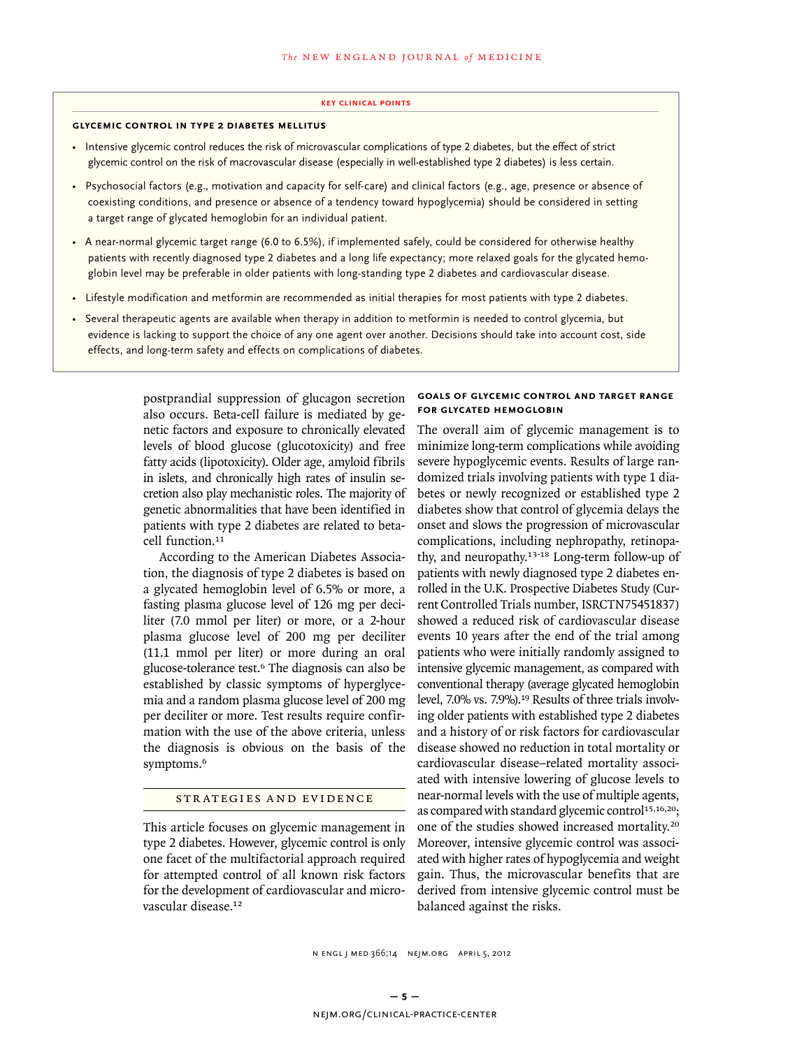#### **key Clinical points**

#### **Glycemic Control in Type 2 Diabetes Mellitus**

- Intensive glycemic control reduces the risk of microvascular complications of type 2 diabetes, but the effect of strict glycemic control on the risk of macrovascular disease (especially in well-established type 2 diabetes) is less certain.
- Psychosocial factors (e.g., motivation and capacity for self-care) and clinical factors (e.g., age, presence or absence of coexisting conditions, and presence or absence of a tendency toward hypoglycemia) should be considered in setting a target range of glycated hemoglobin for an individual patient.
- A near-normal glycemic target range (6.0 to 6.5%), if implemented safely, could be considered for otherwise healthy patients with recently diagnosed type 2 diabetes and a long life expectancy; more relaxed goals for the glycated hemoglobin level may be preferable in older patients with long-standing type 2 diabetes and cardiovascular disease.
- Lifestyle modification and metformin are recommended as initial therapies for most patients with type 2 diabetes.
- Several therapeutic agents are available when therapy in addition to metformin is needed to control glycemia, but evidence is lacking to support the choice of any one agent over another. Decisions should take into account cost, side effects, and long-term safety and effects on complications of diabetes.

postprandial suppression of glucagon secretion also occurs. Beta-cell failure is mediated by genetic factors and exposure to chronically elevated levels of blood glucose (glucotoxicity) and free fatty acids (lipotoxicity). Older age, amyloid fibrils in islets, and chronically high rates of insulin secretion also play mechanistic roles. The majority of genetic abnormalities that have been identified in patients with type 2 diabetes are related to betacell function.<sup>11</sup>

According to the American Diabetes Association, the diagnosis of type 2 diabetes is based on a glycated hemoglobin level of 6.5% or more, a fasting plasma glucose level of 126 mg per deciliter (7.0 mmol per liter) or more, or a 2-hour plasma glucose level of 200 mg per deciliter (11.1 mmol per liter) or more during an oral glucose-tolerance test.<sup>6</sup> The diagnosis can also be established by classic symptoms of hyperglycemia and a random plasma glucose level of 200 mg per deciliter or more. Test results require confirmation with the use of the above criteria, unless the diagnosis is obvious on the basis of the symptoms.<sup>6</sup>

#### STRATEGIES AND EVIDENCE

This article focuses on glycemic management in type 2 diabetes. However, glycemic control is only one facet of the multifactorial approach required for attempted control of all known risk factors for the development of cardiovascular and microvascular disease.<sup>12</sup>

## **Goals of Glycemic Control and Target Range for Glycated Hemoglobin**

The overall aim of glycemic management is to minimize long-term complications while avoiding severe hypoglycemic events. Results of large randomized trials involving patients with type 1 diabetes or newly recognized or established type 2 diabetes show that control of glycemia delays the onset and slows the progression of microvascular complications, including nephropathy, retinopathy, and neuropathy.13-18 Long-term follow-up of patients with newly diagnosed type 2 diabetes enrolled in the U.K. Prospective Diabetes Study (Current Controlled Trials number, ISRCTN75451837) showed a reduced risk of cardiovascular disease events 10 years after the end of the trial among patients who were initially randomly assigned to intensive glycemic management, as compared with conventional therapy (average glycated hemoglobin level, 7.0% vs. 7.9%).<sup>19</sup> Results of three trials involving older patients with established type 2 diabetes and a history of or risk factors for cardiovascular disease showed no reduction in total mortality or cardiovascular disease–related mortality associated with intensive lowering of glucose levels to near-normal levels with the use of multiple agents, as compared with standard glycemic control<sup>15,16,20</sup>; one of the studies showed increased mortality.<sup>20</sup> Moreover, intensive glycemic control was associated with higher rates of hypoglycemia and weight gain. Thus, the microvascular benefits that are derived from intensive glycemic control must be balanced against the risks.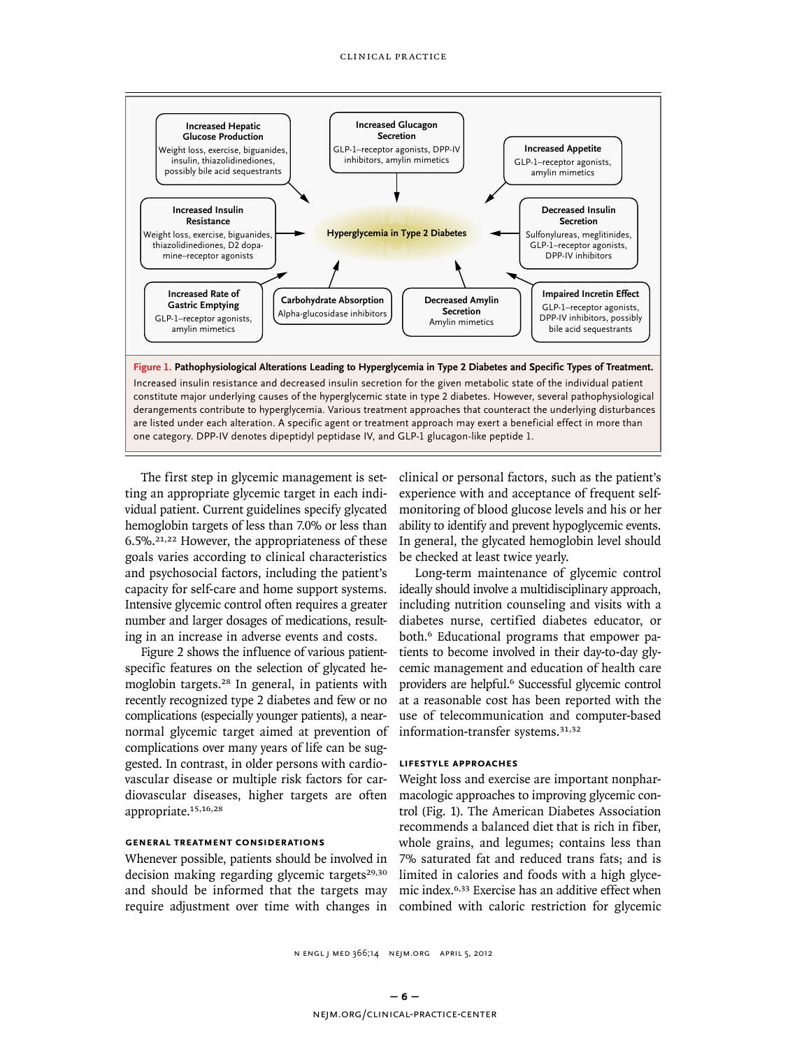

The first step in glycemic management is setting an appropriate glycemic target in each individual patient. Current guidelines specify glycated hemoglobin targets of less than 7.0% or less than  $6.5\%$ <sup>21,22</sup> However, the appropriateness of these goals varies according to clinical characteristics and psychosocial factors, including the patient's capacity for self-care and home support systems. Intensive glycemic control often requires a greater number and larger dosages of medications, resulting in an increase in adverse events and costs.

Figure 2 shows the influence of various patientspecific features on the selection of glycated hemoglobin targets.<sup>28</sup> In general, in patients with recently recognized type 2 diabetes and few or no complications (especially younger patients), a nearnormal glycemic target aimed at prevention of complications over many years of life can be suggested. In contrast, in older persons with cardiovascular disease or multiple risk factors for cardiovascular diseases, higher targets are often appropriate.15,16,28

## **General Treatment Considerations**

Whenever possible, patients should be involved in decision making regarding glycemic targets<sup>29,30</sup> and should be informed that the targets may require adjustment over time with changes in clinical or personal factors, such as the patient's experience with and acceptance of frequent selfmonitoring of blood glucose levels and his or her ability to identify and prevent hypoglycemic events. In general, the glycated hemoglobin level should be checked at least twice yearly.

Long-term maintenance of glycemic control ideally should involve a multidisciplinary approach, including nutrition counseling and visits with a diabetes nurse, certified diabetes educator, or both.<sup>6</sup> Educational programs that empower patients to become involved in their day-to-day glycemic management and education of health care providers are helpful.<sup>6</sup> Successful glycemic control at a reasonable cost has been reported with the use of telecommunication and computer-based information-transfer systems.31,32

## **Lifestyle Approaches**

Weight loss and exercise are important nonpharmacologic approaches to improving glycemic control (Fig. 1). The American Diabetes Association recommends a balanced diet that is rich in fiber, whole grains, and legumes; contains less than 7% saturated fat and reduced trans fats; and is limited in calories and foods with a high glycemic index.6,33 Exercise has an additive effect when combined with caloric restriction for glycemic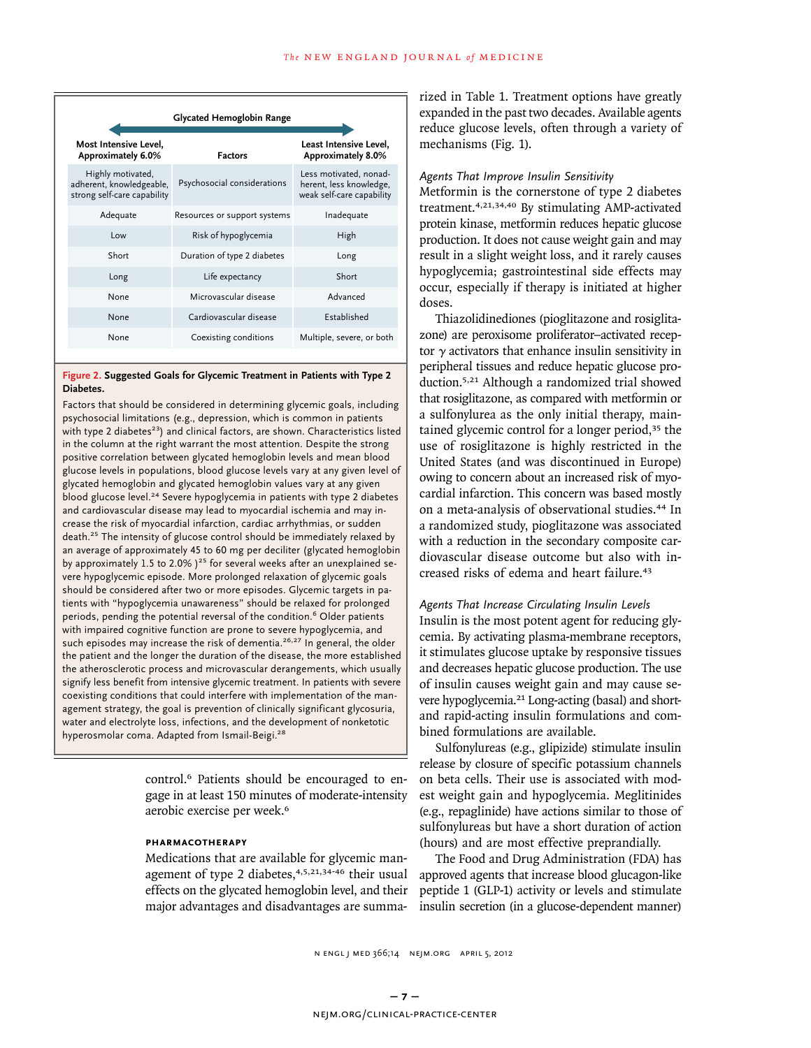|                                                                              | Glycated Hemoglobin Range    |                                                                                |
|------------------------------------------------------------------------------|------------------------------|--------------------------------------------------------------------------------|
| Most Intensive Level,<br>Approximately 6.0%                                  | <b>Factors</b>               | Least Intensive Level,<br>Approximately 8.0%                                   |
| Highly motivated,<br>adherent, knowledgeable,<br>strong self-care capability | Psychosocial considerations  | Less motivated, nonad-<br>herent, less knowledge,<br>weak self-care capability |
| Adequate                                                                     | Resources or support systems | Inadequate                                                                     |
| Low                                                                          | Risk of hypoglycemia         | High                                                                           |
| Short                                                                        | Duration of type 2 diabetes  | Long                                                                           |
| Long                                                                         | Life expectancy              | Short                                                                          |
| None                                                                         | Microvascular disease        | Advanced                                                                       |
| None                                                                         | Cardiovascular disease       | Established                                                                    |
| None                                                                         | Coexisting conditions        | Multiple, severe, or both                                                      |

#### **Figure 2. Suggested Goals for Glycemic Treatment in Patients with Type 2 Diabetes.**

Factors that should be considered in determining glycemic goals, including psychosocial limitations (e.g., depression, which is common in patients with type 2 diabetes<sup>23</sup>) and clinical factors, are shown. Characteristics listed in the column at the right warrant the most attention. Despite the strong positive correlation between glycated hemoglobin levels and mean blood glucose levels in populations, blood glucose levels vary at any given level of glycated hemoglobin and glycated hemoglobin values vary at any given blood glucose level.<sup>24</sup> Severe hypoglycemia in patients with type 2 diabetes and cardiovascular disease may lead to myocardial ischemia and may increase the risk of myocardial infarction, cardiac arrhythmias, or sudden death.25 The intensity of glucose control should be immediately relaxed by an average of approximately 45 to 60 mg per deciliter (glycated hemoglobin by approximately 1.5 to 2.0%  $)^{25}$  for several weeks after an unexplained severe hypoglycemic episode. More prolonged relaxation of glycemic goals should be considered after two or more episodes. Glycemic targets in patients with "hypoglycemia unawareness" should be relaxed for prolonged periods, pending the potential reversal of the condition.<sup>6</sup> Older patients with impaired cognitive function are prone to severe hypoglycemia, and such episodes may increase the risk of dementia.<sup>26,27</sup> In general, the older the patient and the longer the duration of the disease, the more established the atherosclerotic process and microvascular derangements, which usually signify less benefit from intensive glycemic treatment. In patients with severe coexisting conditions that could interfere with implementation of the management strategy, the goal is prevention of clinically significant glycosuria, water and electrolyte loss, infections, and the development of nonketotic hyperosmolar coma. Adapted from Ismail-Beigi.<sup>28</sup>

> control.6 Patients should be encouraged to engage in at least 150 minutes of moderate-intensity aerobic exercise per week.<sup>6</sup>

## **Pharmacotherapy**

Medications that are available for glycemic management of type 2 diabetes, $4,5,21,34-46$  their usual effects on the glycated hemoglobin level, and their major advantages and disadvantages are summarized in Table 1. Treatment options have greatly expanded in the past two decades. Available agents reduce glucose levels, often through a variety of mechanisms (Fig. 1).

#### *Agents That Improve Insulin Sensitivity*

Metformin is the cornerstone of type 2 diabetes treatment.4,21,34,40 By stimulating AMP-activated protein kinase, metformin reduces hepatic glucose production. It does not cause weight gain and may result in a slight weight loss, and it rarely causes hypoglycemia; gastrointestinal side effects may occur, especially if therapy is initiated at higher doses.

Thiazolidinediones (pioglitazone and rosiglitazone) are peroxisome proliferator–activated receptor  $\gamma$  activators that enhance insulin sensitivity in peripheral tissues and reduce hepatic glucose production.5,21 Although a randomized trial showed that rosiglitazone, as compared with metformin or a sulfonylurea as the only initial therapy, maintained glycemic control for a longer period,<sup>35</sup> the use of rosiglitazone is highly restricted in the United States (and was discontinued in Europe) owing to concern about an increased risk of myocardial infarction. This concern was based mostly on a meta-analysis of observational studies.<sup>44</sup> In a randomized study, pioglitazone was associated with a reduction in the secondary composite cardiovascular disease outcome but also with increased risks of edema and heart failure.<sup>43</sup>

## *Agents That Increase Circulating Insulin Levels*

Insulin is the most potent agent for reducing glycemia. By activating plasma-membrane receptors, it stimulates glucose uptake by responsive tissues and decreases hepatic glucose production. The use of insulin causes weight gain and may cause severe hypoglycemia.<sup>21</sup> Long-acting (basal) and shortand rapid-acting insulin formulations and combined formulations are available.

Sulfonylureas (e.g., glipizide) stimulate insulin release by closure of specific potassium channels on beta cells. Their use is associated with modest weight gain and hypoglycemia. Meglitinides (e.g., repaglinide) have actions similar to those of sulfonylureas but have a short duration of action (hours) and are most effective preprandially.

The Food and Drug Administration (FDA) has approved agents that increase blood glucagon-like peptide 1 (GLP-1) activity or levels and stimulate insulin secretion (in a glucose-dependent manner)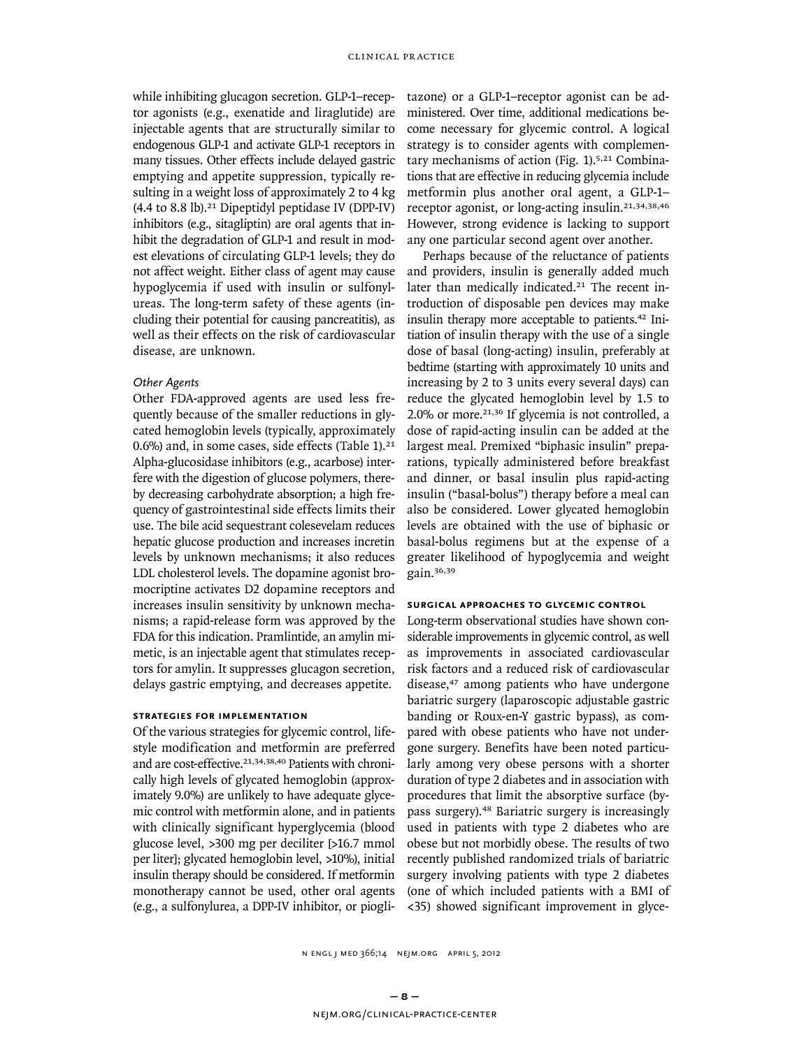while inhibiting glucagon secretion. GLP-1–receptor agonists (e.g., exenatide and liraglutide) are injectable agents that are structurally similar to endogenous GLP-1 and activate GLP-1 receptors in many tissues. Other effects include delayed gastric emptying and appetite suppression, typically resulting in a weight loss of approximately 2 to 4 kg (4.4 to 8.8 lb).<sup>21</sup> Dipeptidyl peptidase IV (DPP-IV) inhibitors (e.g., sitagliptin) are oral agents that inhibit the degradation of GLP-1 and result in modest elevations of circulating GLP-1 levels; they do not affect weight. Either class of agent may cause hypoglycemia if used with insulin or sulfonylureas. The long-term safety of these agents (including their potential for causing pancreatitis), as well as their effects on the risk of cardiovascular disease, are unknown.

## *Other Agents*

Other FDA-approved agents are used less frequently because of the smaller reductions in glycated hemoglobin levels (typically, approximately 0.6%) and, in some cases, side effects (Table  $1$ ).<sup>21</sup> Alpha-glucosidase inhibitors (e.g., acarbose) interfere with the digestion of glucose polymers, thereby decreasing carbohydrate absorption; a high frequency of gastrointestinal side effects limits their use. The bile acid sequestrant colesevelam reduces hepatic glucose production and increases incretin levels by unknown mechanisms; it also reduces LDL cholesterol levels. The dopamine agonist bromocriptine activates D2 dopamine receptors and increases insulin sensitivity by unknown mechanisms; a rapid-release form was approved by the FDA for this indication. Pramlintide, an amylin mimetic, is an injectable agent that stimulates receptors for amylin. It suppresses glucagon secretion, delays gastric emptying, and decreases appetite.

#### **Strategies for Implementation**

Of the various strategies for glycemic control, lifestyle modification and metformin are preferred and are cost-effective.<sup>21,34,38,40</sup> Patients with chronically high levels of glycated hemoglobin (approximately 9.0%) are unlikely to have adequate glycemic control with metformin alone, and in patients with clinically significant hyperglycemia (blood glucose level, >300 mg per deciliter [>16.7 mmol per liter]; glycated hemoglobin level, >10%), initial insulin therapy should be considered. If metformin monotherapy cannot be used, other oral agents (e.g., a sulfonylurea, a DPP-IV inhibitor, or pioglitazone) or a GLP-1–receptor agonist can be administered. Over time, additional medications become necessary for glycemic control. A logical strategy is to consider agents with complementary mechanisms of action (Fig.  $1$ ).<sup>5,21</sup> Combinations that are effective in reducing glycemia include metformin plus another oral agent, a GLP-1– receptor agonist, or long-acting insulin.21,34,38,46 However, strong evidence is lacking to support any one particular second agent over another.

Perhaps because of the reluctance of patients and providers, insulin is generally added much later than medically indicated.<sup>21</sup> The recent introduction of disposable pen devices may make insulin therapy more acceptable to patients.<sup>42</sup> Initiation of insulin therapy with the use of a single dose of basal (long-acting) insulin, preferably at bedtime (starting with approximately 10 units and increasing by 2 to 3 units every several days) can reduce the glycated hemoglobin level by 1.5 to 2.0% or more.<sup>21,36</sup> If glycemia is not controlled, a dose of rapid-acting insulin can be added at the largest meal. Premixed "biphasic insulin" preparations, typically administered before breakfast and dinner, or basal insulin plus rapid-acting insulin ("basal-bolus") therapy before a meal can also be considered. Lower glycated hemoglobin levels are obtained with the use of biphasic or basal-bolus regimens but at the expense of a greater likelihood of hypoglycemia and weight gain.36,39

## **Surgical Approaches to Glycemic Control**

Long-term observational studies have shown considerable improvements in glycemic control, as well as improvements in associated cardiovascular risk factors and a reduced risk of cardiovascular disease,<sup>47</sup> among patients who have undergone bariatric surgery (laparoscopic adjustable gastric banding or Roux-en-Y gastric bypass), as compared with obese patients who have not undergone surgery. Benefits have been noted particularly among very obese persons with a shorter duration of type 2 diabetes and in association with procedures that limit the absorptive surface (bypass surgery).<sup>48</sup> Bariatric surgery is increasingly used in patients with type 2 diabetes who are obese but not morbidly obese. The results of two recently published randomized trials of bariatric surgery involving patients with type 2 diabetes (one of which included patients with a BMI of <35) showed significant improvement in glyce-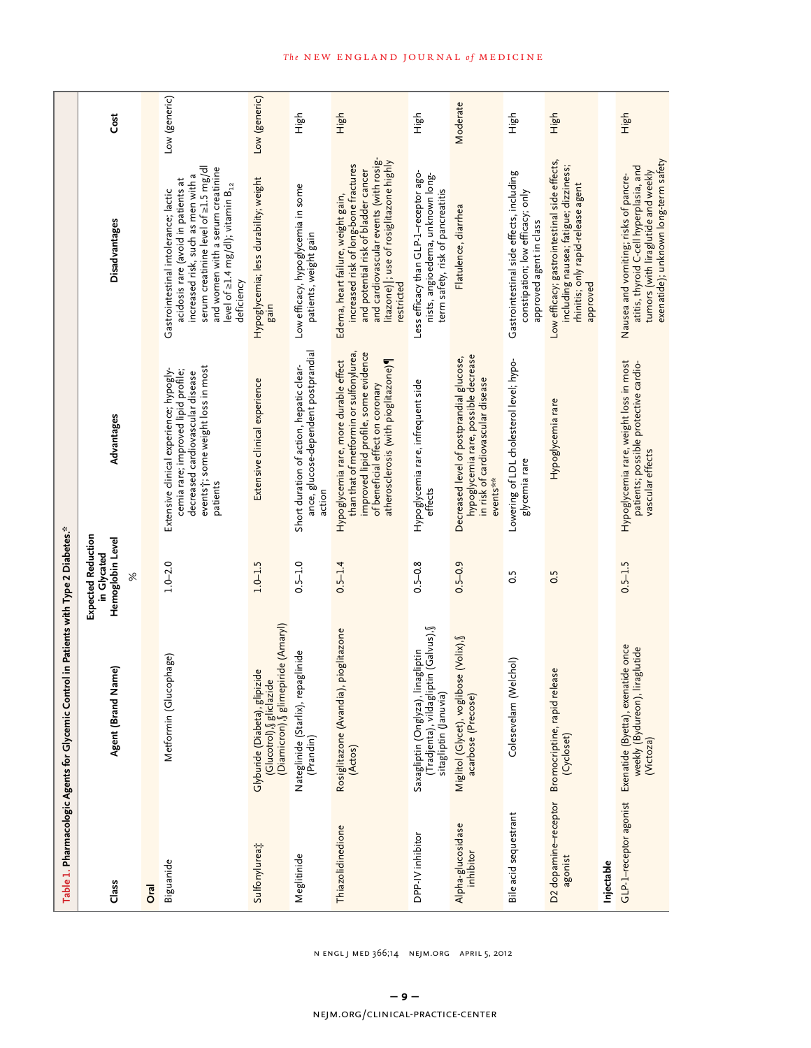|                                             | Table 1. Pharmacologic Agents for Glycemic Contr                                                    | ol in Patients with Type 2 Diabetes.*                        |                                                                                                                                                                                                       |                                                                                                                                                                                                                                                                    |               |
|---------------------------------------------|-----------------------------------------------------------------------------------------------------|--------------------------------------------------------------|-------------------------------------------------------------------------------------------------------------------------------------------------------------------------------------------------------|--------------------------------------------------------------------------------------------------------------------------------------------------------------------------------------------------------------------------------------------------------------------|---------------|
| Class                                       | Agent (Brand Name)                                                                                  | <b>Expected Reduction</b><br>Hemoglobin Level<br>in Glycated | Advantages                                                                                                                                                                                            | Disadvantages                                                                                                                                                                                                                                                      | Cost          |
| <b>Dral</b>                                 |                                                                                                     | $\%$                                                         |                                                                                                                                                                                                       |                                                                                                                                                                                                                                                                    |               |
| Biguanide                                   | Metformin (Glucophage)                                                                              | $1.0 - 2.0$                                                  | events j'; some weight loss in most<br>Extensive clinical experience; hypogly-<br>cemia rare; improved lipid profile;<br>decreased cardiovascular disease<br>patients                                 | serum creatinine level of $\geq$ 1.5 mg/dl<br>and women with a serum creatinine<br>increased risk, such as men with a<br>acidosis rare (avoid in patients at<br>level of $\geq$ 1.4 mg/dl); vitamin $B_{12}$<br>Gastrointestinal intolerance; lactic<br>deficiency | Low (generic) |
| Sulfonylurea                                | (Glucotrol),§ gliclazide<br>(Diamicron),§ glimepiride (Amaryl)<br>Glyburide (Diabeta), glipizide    | $1.0 - 1.5$                                                  | Extensive clinical experience                                                                                                                                                                         | Hypoglycemia; less durability; weight<br>gain                                                                                                                                                                                                                      | Low (generic) |
| Meglitinide                                 | Nateglinide (Starlix), repaglinide<br>(Prandin)                                                     | $0.5 - 1.0$                                                  | ance, glucose-dependent postprandial<br>Short duration of action, hepatic clear-<br>action                                                                                                            | Low efficacy, hypoglycemia in some<br>patients, weight gain                                                                                                                                                                                                        | High          |
| Thiazolidinedione                           | pioglitazone<br>Rosiglitazone (Avandia),<br>(Actos)                                                 | $0.5 - 1.4$                                                  | than that of metformin or sulfonylurea,<br>improved lipid profile, some evidence<br>atherosclerosis (with pioglitazone)<br>Hypoglycemia rare, more durable effect<br>of beneficial effect on coronary | and cardiovascular events (with rosig-<br>litazone) ; use of rosiglitazone highly<br>increased risk of long-bone fractures<br>and potential risk of bladder cancer<br>Edema, heart failure, weight gain,<br>restricted                                             | High          |
| DPP-IV inhibitor                            | Saxagliptin (Onglyza), linagliptin<br>(Tradjenta), vildagliptin (Galvus),§<br>sitagliptin (Januvia) | $0.5 - 0.8$                                                  | Hypoglycemia rare, infrequent side<br>ettects                                                                                                                                                         | Less efficacy than GLP-1-receptor ago-<br>nists, angioedema, unknown long-<br>term safety, risk of pancreatitis                                                                                                                                                    | High          |
| Alpha-glucosidase<br>inhibitor              | Miglitol (Glycet), voglibose (Volix), §<br>acarbose (Precose)                                       | $0.5 - 0.9$                                                  | hypoglycemia rare, possible decrease<br>Decreased level of postprandial glucose,<br>in risk of cardiovascular disease<br><b>events**</b>                                                              | Flatulence, diarrhea                                                                                                                                                                                                                                               | Moderate      |
| Bile acid sequestrant                       | Colesevelam (Welchol)                                                                               | 0.5                                                          | Lowering of LDL cholesterol level; hypo-<br>glycemia rare                                                                                                                                             | Gastrointestinal side effects, including<br>constipation; low efficacy; only<br>approved agent in class                                                                                                                                                            | High          |
| D <sub>2</sub> dopamine-receptor<br>agonist | Bromocriptine, rapid release<br>(Cycloset)                                                          | 0.5                                                          | Hypoglycemia rare                                                                                                                                                                                     | Low efficacy; gastrointestinal side effects,<br>including nausea; fatigue; dizziness;<br>rhinitis; only rapid-release agent<br>approved                                                                                                                            | High          |
| Injectable                                  |                                                                                                     |                                                              |                                                                                                                                                                                                       |                                                                                                                                                                                                                                                                    |               |
| GLP-1-receptor agonist                      | Exenatide (Byetta), exenatide once<br>weekly (Bydureon), liraglutide<br>(Victoza)                   | $0.5 - 1.5$                                                  | Hypoglycemia rare, weight loss in most<br>patients; possible protective cardio-<br>vascular effects                                                                                                   | exenatide); unknown long-term safety<br>atitis, thyroid C-cell hyperplasia, and<br>tumors (with liraglutide and weekly<br>Nausea and vomiting; risks of pancre-                                                                                                    | High          |

# *The* NEW ENGLAND JOURNAL of MEDICINE

**– 9 –** nejm.org/clinical-practice-center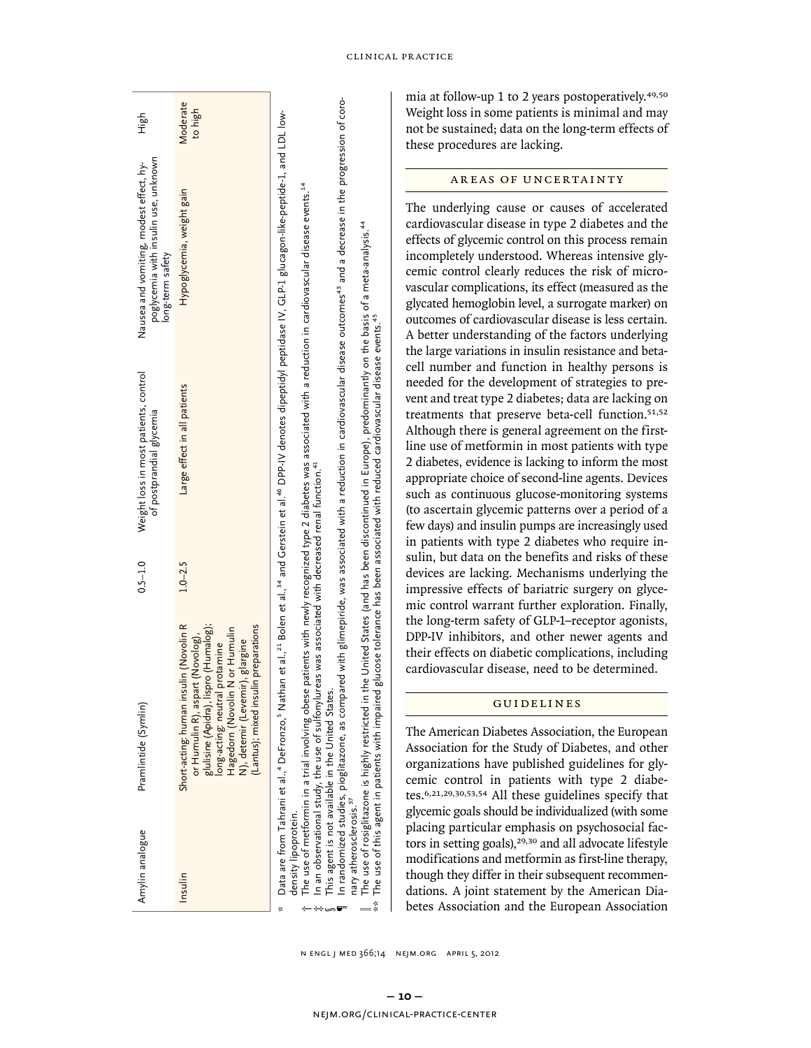|   | Amylin analogue      | Pramlintide (Symlin)                                                                                                                                                                                                                                                                                                                             | $0.5 - 1.0$ | Weight loss in most patients, control<br>of postprandial glycemia | poglycemia with insulin use, unknown<br>Nausea and vomiting, modest effect, hy-<br>long-term safety                                                                                                                                                               | Нigh                 |
|---|----------------------|--------------------------------------------------------------------------------------------------------------------------------------------------------------------------------------------------------------------------------------------------------------------------------------------------------------------------------------------------|-------------|-------------------------------------------------------------------|-------------------------------------------------------------------------------------------------------------------------------------------------------------------------------------------------------------------------------------------------------------------|----------------------|
|   | Insulin              | glulisine (Apidra), lispro (Humalog);<br>Short-acting: human insulin (Novolin R<br>(Lantus); mixed insulin preparations<br>Hagedorn (Novolin N or Humulin<br>or Humulin R), aspart (Novolog),<br>N), detemir (Levemir), glargine<br>protamine<br>long-acting: neutral                                                                            | $1.0 - 2.5$ | Large effect in all patients                                      | Hypoglycemia, weight gain                                                                                                                                                                                                                                         | Moderate<br>high<br> |
| × | density lipoprotein. | The use of metformin in a trial involving obese patients with newly recognized type 2 diabetes was associated with a reduction in cardiovascular disease events. <sup>14</sup><br>In an observational study, the use of sulfonylureas was associated with decreased renal function. $^{41}$<br>This agent is not available in the United States. |             |                                                                   | Data are from Tahrani et al.,* DeFronzo, <sup>s</sup> Nathan et al., <sup>21</sup> Bolen et al., <sup>34</sup> Bolen et al., <sup>34</sup> and Gerstein et al., <sup>34</sup> GPP-IV denotes dipeptidyl peptidase IV, GLP-1 glucagon-like-peptide-1, and LDL low- |                      |
|   |                      |                                                                                                                                                                                                                                                                                                                                                  |             |                                                                   | In randomized studies, pioglitazone, as compared with glimepiride, was associated with a reduction in cardiovascular disease outcomes <sup>43</sup> and a decrease in the progression of coro-                                                                    |                      |

The use of rosiglitazone is highly restricted in the United States (and has been discontinued in Europe), predominantly on the basis of a meta-analysis.44<br>The use of this agent in patients with impaired glucose tolerance h ∥ The use of rosiglitazone is highly restricted in the United States (and has been discontinued in Europe), predominantly on the basis of a meta-analysis.44 \*\* The use of this agent in patients with impaired glucose tolerance has been associated with reduced cardiovascular disease events.45nary atherosclerosis.<sup>37</sup> nary atherosclerosis.<sup>37</sup>

mia at follow-up 1 to 2 years postoperatively.<sup>49,50</sup> Weight loss in some patients is minimal and may not be sustained; data on the long-term effects of these procedures are lacking.

## AREAS OF UNCERTAINTY

The underlying cause or causes of accelerated cardiovascular disease in type 2 diabetes and the effects of glycemic control on this process remain incompletely understood. Whereas intensive glycemic control clearly reduces the risk of microvascular complications, its effect (measured as the glycated hemoglobin level, a surrogate marker) on outcomes of cardiovascular disease is less certain. A better understanding of the factors underlying the large variations in insulin resistance and betacell number and function in healthy persons is needed for the development of strategies to prevent and treat type 2 diabetes; data are lacking on treatments that preserve beta-cell function.51,52 Although there is general agreement on the firstline use of metformin in most patients with type 2 diabetes, evidence is lacking to inform the most appropriate choice of second-line agents. Devices such as continuous glucose-monitoring systems (to ascertain glycemic patterns over a period of a few days) and insulin pumps are increasingly used in patients with type 2 diabetes who require insulin, but data on the benefits and risks of these devices are lacking. Mechanisms underlying the impressive effects of bariatric surgery on glycemic control warrant further exploration. Finally, the long-term safety of GLP-1–receptor agonists, DPP-IV inhibitors, and other newer agents and their effects on diabetic complications, including cardiovascular disease, need to be determined.

## Guidelines

The American Diabetes Association, the European Association for the Study of Diabetes, and other organizations have published guidelines for glycemic control in patients with type 2 diabetes.6,21,29,30,53,54 All these guidelines specify that glycemic goals should be individualized (with some placing particular emphasis on psychosocial factors in setting goals),<sup>29,30</sup> and all advocate lifestyle modifications and metformin as first-line therapy, though they differ in their subsequent recommendations. A joint statement by the American Diabetes Association and the European Association

 $=$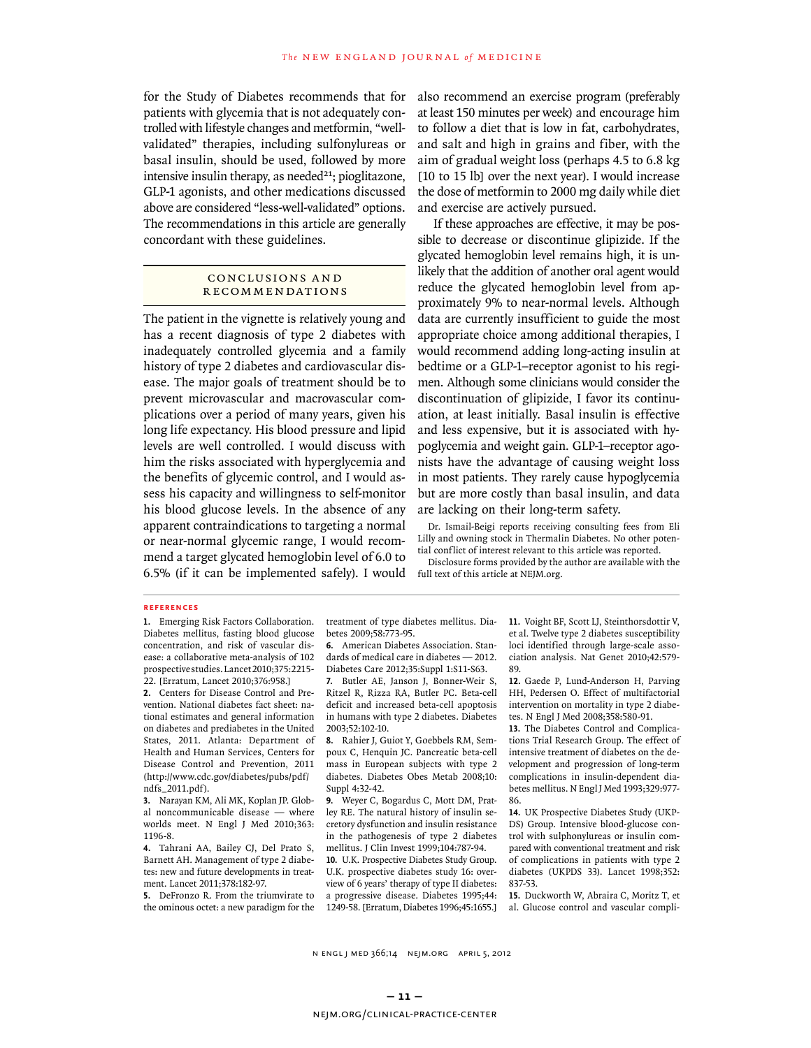for the Study of Diabetes recommends that for patients with glycemia that is not adequately controlled with lifestyle changes and metformin, "wellvalidated" therapies, including sulfonylureas or basal insulin, should be used, followed by more intensive insulin therapy, as needed $21$ ; pioglitazone, GLP-1 agonists, and other medications discussed above are considered "less-well-validated" options. The recommendations in this article are generally concordant with these guidelines.

## CONCLUSIONS AND **RECOMMENDATIONS**

The patient in the vignette is relatively young and has a recent diagnosis of type 2 diabetes with inadequately controlled glycemia and a family history of type 2 diabetes and cardiovascular disease. The major goals of treatment should be to prevent microvascular and macrovascular complications over a period of many years, given his long life expectancy. His blood pressure and lipid levels are well controlled. I would discuss with him the risks associated with hyperglycemia and the benefits of glycemic control, and I would assess his capacity and willingness to self-monitor his blood glucose levels. In the absence of any apparent contraindications to targeting a normal or near-normal glycemic range, I would recommend a target glycated hemoglobin level of 6.0 to 6.5% (if it can be implemented safely). I would full text of this article at NEJM.org.

also recommend an exercise program (preferably at least 150 minutes per week) and encourage him to follow a diet that is low in fat, carbohydrates, and salt and high in grains and fiber, with the aim of gradual weight loss (perhaps 4.5 to 6.8 kg [10 to 15 lb] over the next year). I would increase the dose of metformin to 2000 mg daily while diet and exercise are actively pursued.

If these approaches are effective, it may be possible to decrease or discontinue glipizide. If the glycated hemoglobin level remains high, it is unlikely that the addition of another oral agent would reduce the glycated hemoglobin level from approximately 9% to near-normal levels. Although data are currently insufficient to guide the most appropriate choice among additional therapies, I would recommend adding long-acting insulin at bedtime or a GLP-1–receptor agonist to his regimen. Although some clinicians would consider the discontinuation of glipizide, I favor its continuation, at least initially. Basal insulin is effective and less expensive, but it is associated with hypoglycemia and weight gain. GLP-1–receptor agonists have the advantage of causing weight loss in most patients. They rarely cause hypoglycemia but are more costly than basal insulin, and data are lacking on their long-term safety.

Dr. Ismail-Beigi reports receiving consulting fees from Eli Lilly and owning stock in Thermalin Diabetes. No other potential conflict of interest relevant to this article was reported.

Disclosure forms provided by the author are available with the

#### **References**

**1.** Emerging Risk Factors Collaboration. Diabetes mellitus, fasting blood glucose concentration, and risk of vascular disease: a collaborative meta-analysis of 102 prospective studies. Lancet 2010;375:2215- 22. [Erratum, Lancet 2010;376:958.]

**2.** Centers for Disease Control and Prevention. National diabetes fact sheet: national estimates and general information on diabetes and prediabetes in the United States, 2011. Atlanta: Department of Health and Human Services, Centers for Disease Control and Prevention, 2011 (http://www.cdc.gov/diabetes/pubs/pdf/ ndfs\_2011.pdf).

**3.** Narayan KM, Ali MK, Koplan JP. Global noncommunicable disease — where worlds meet. N Engl J Med 2010;363: 1196-8.

**4.** Tahrani AA, Bailey CJ, Del Prato S, Barnett AH. Management of type 2 diabetes: new and future developments in treatment. Lancet 2011;378:182-97.

**5.** DeFronzo R. From the triumvirate to the ominous octet: a new paradigm for the

treatment of type diabetes mellitus. Diabetes 2009;58:773-95.

**6.** American Diabetes Association. Standards of medical care in diabetes — 2012. Diabetes Care 2012;35:Suppl 1:S11-S63.

**7.** Butler AE, Janson J, Bonner-Weir S, Ritzel R, Rizza RA, Butler PC. Beta-cell deficit and increased beta-cell apoptosis in humans with type 2 diabetes. Diabetes 2003;52:102-10.

**8.** Rahier J, Guiot Y, Goebbels RM, Sempoux C, Henquin JC. Pancreatic beta-cell mass in European subjects with type 2 diabetes. Diabetes Obes Metab 2008;10: Suppl 4:32-42.

**9.** Weyer C, Bogardus C, Mott DM, Pratley RE. The natural history of insulin secretory dysfunction and insulin resistance in the pathogenesis of type 2 diabetes mellitus. J Clin Invest 1999;104:787-94.

**10.** U.K. Prospective Diabetes Study Group. U.K. prospective diabetes study 16: overview of 6 years' therapy of type II diabetes: a progressive disease. Diabetes 1995;44: 1249-58. [Erratum, Diabetes 1996;45:1655.]

**11.** Voight BF, Scott LJ, Steinthorsdottir V, et al. Twelve type 2 diabetes susceptibility loci identified through large-scale association analysis. Nat Genet 2010;42:579- 89.

**12.** Gaede P, Lund-Anderson H, Parving HH, Pedersen O. Effect of multifactorial intervention on mortality in type 2 diabetes. N Engl J Med 2008;358:580-91.

**13.** The Diabetes Control and Complications Trial Research Group. The effect of intensive treatment of diabetes on the development and progression of long-term complications in insulin-dependent diabetes mellitus. N Engl J Med 1993;329:977- 86.

**14.** UK Prospective Diabetes Study (UKP-DS) Group. Intensive blood-glucose control with sulphonylureas or insulin compared with conventional treatment and risk of complications in patients with type 2 diabetes (UKPDS 33). Lancet 1998;352: 837-53.

**15.** Duckworth W, Abraira C, Moritz T, et al. Glucose control and vascular compli